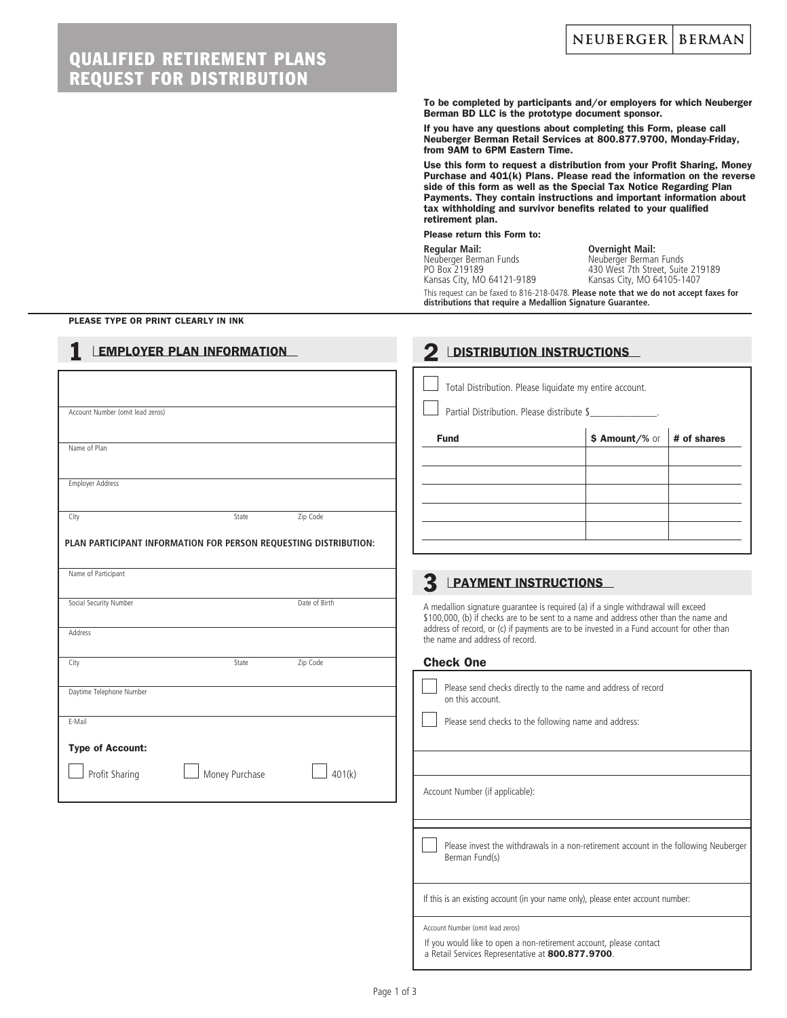## QUALIFIED RETIREMENT PLANS REQUEST FOR DISTRIBUTION

To be completed by participants and/or employers for which Neuberger Berman BD LLC is the prototype document sponsor.

If you have any questions about completing this Form, please call Neuberger Berman Retail Services at 800.877.9700, Monday-Friday, from 9AM to 6PM Eastern Time.

Use this form to request a distribution from your Profit Sharing, Money Purchase and 401(k) Plans. Please read the information on the reverse side of this form as well as the Special Tax Notice Regarding Plan Payments. They contain instructions and important information about tax withholding and survivor benefits related to your qualified retirement plan.

Please return this Form to:

 **Regular Mail: Overnight Mail:** Neuberger Berman Funds Neuberger Berman Funds Kansas City, MO 64121-9189 Kansas City, MO 64105-1407

PO Box 219189 430 West 7th Street, Suite 219189

This request can be faxed to 816-218-0478. **Please note that we do not accept faxes for distributions that require a Medallion Signature Guarantee.**

#### PLEASE TYPE OR PRINT CLEARLY IN INK

| <b>EMPLOYER PLAN INFORMATION</b>                                 | <b>DISTRIBUTION INSTRUCTIONS</b>                                                                                                                                            |
|------------------------------------------------------------------|-----------------------------------------------------------------------------------------------------------------------------------------------------------------------------|
| Account Number (omit lead zeros)                                 | Total Distribution. Please liquidate my entire account.<br>Partial Distribution. Please distribute \$                                                                       |
|                                                                  | \$ Amount/% or<br><b>Fund</b><br># of shares                                                                                                                                |
| Name of Plan                                                     |                                                                                                                                                                             |
| <b>Employer Address</b>                                          |                                                                                                                                                                             |
| Zip Code<br>City<br>State                                        |                                                                                                                                                                             |
| PLAN PARTICIPANT INFORMATION FOR PERSON REQUESTING DISTRIBUTION: |                                                                                                                                                                             |
| Name of Participant                                              | 3<br><b>PAYMENT INSTRUCTIONS</b>                                                                                                                                            |
| Social Security Number<br>Date of Birth                          | A medallion signature guarantee is required (a) if a single withdrawal will exceed<br>\$100,000, (b) if checks are to be sent to a name and address other than the name and |
| Address                                                          | address of record, or (c) if payments are to be invested in a Fund account for other than<br>the name and address of record.                                                |
| City<br>State<br>Zip Code                                        | <b>Check One</b>                                                                                                                                                            |
| Daytime Telephone Number                                         | Please send checks directly to the name and address of record<br>on this account.                                                                                           |
| E-Mail                                                           | Please send checks to the following name and address:                                                                                                                       |
| <b>Type of Account:</b>                                          |                                                                                                                                                                             |
| Profit Sharing<br>Money Purchase<br>401(k)                       | Account Number (if applicable):                                                                                                                                             |
|                                                                  |                                                                                                                                                                             |
|                                                                  | Please invest the withdrawals in a non-retirement account in the following Neuberger<br>Berman Fund(s)                                                                      |
|                                                                  | If this is an existing account (in your name only), please enter account number:                                                                                            |
|                                                                  | Account Number (omit lead zeros)<br>If you would like to open a non-retirement account, please contact<br>a Retail Services Representative at 800.877.9700.                 |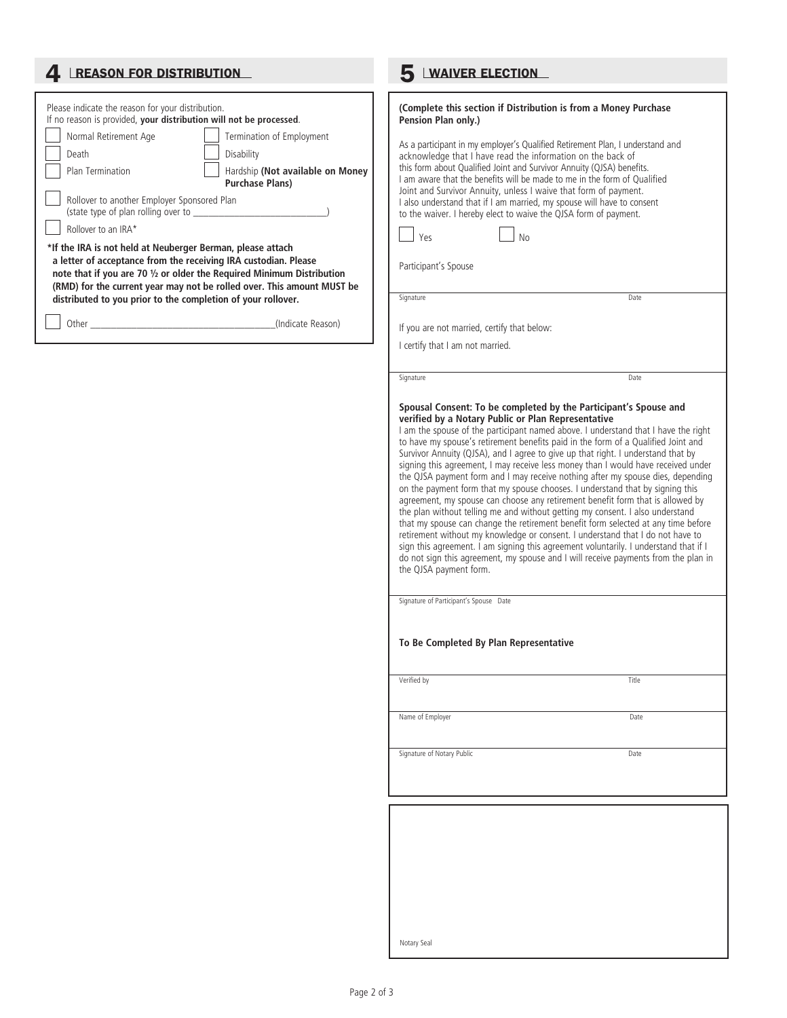| 4 <b>LREASON FOR DISTRIBUTION</b>                                                                                                                                                                                                                                                                                                                                                                                                                                                                                                                                                                                                                                                                                 | <b>WAIVER ELECTION</b>                                                                                                                                                                                                                                                                                                                                                                                                                                                                                                                                                                                                                                                                                                                                                                                                                                                                                                                                                                                                                                                                                                                                                                                                                     |
|-------------------------------------------------------------------------------------------------------------------------------------------------------------------------------------------------------------------------------------------------------------------------------------------------------------------------------------------------------------------------------------------------------------------------------------------------------------------------------------------------------------------------------------------------------------------------------------------------------------------------------------------------------------------------------------------------------------------|--------------------------------------------------------------------------------------------------------------------------------------------------------------------------------------------------------------------------------------------------------------------------------------------------------------------------------------------------------------------------------------------------------------------------------------------------------------------------------------------------------------------------------------------------------------------------------------------------------------------------------------------------------------------------------------------------------------------------------------------------------------------------------------------------------------------------------------------------------------------------------------------------------------------------------------------------------------------------------------------------------------------------------------------------------------------------------------------------------------------------------------------------------------------------------------------------------------------------------------------|
| Please indicate the reason for your distribution.<br>If no reason is provided, your distribution will not be processed.<br>Normal Retirement Age<br>Termination of Employment<br>Disability<br>Death<br>Hardship (Not available on Money<br>Plan Termination<br><b>Purchase Plans)</b><br>Rollover to another Employer Sponsored Plan<br>Rollover to an IRA*<br>*If the IRA is not held at Neuberger Berman, please attach<br>a letter of acceptance from the receiving IRA custodian. Please<br>note that if you are 70 1/2 or older the Required Minimum Distribution<br>(RMD) for the current year may not be rolled over. This amount MUST be<br>distributed to you prior to the completion of your rollover. | (Complete this section if Distribution is from a Money Purchase<br>Pension Plan only.)<br>As a participant in my employer's Qualified Retirement Plan, I understand and<br>acknowledge that I have read the information on the back of<br>this form about Qualified Joint and Survivor Annuity (QJSA) benefits.<br>I am aware that the benefits will be made to me in the form of Qualified<br>Joint and Survivor Annuity, unless I waive that form of payment.<br>I also understand that if I am married, my spouse will have to consent<br>to the waiver. I hereby elect to waive the QJSA form of payment.<br>Yes<br><b>No</b><br>Participant's Spouse<br>Signature<br>Date                                                                                                                                                                                                                                                                                                                                                                                                                                                                                                                                                             |
|                                                                                                                                                                                                                                                                                                                                                                                                                                                                                                                                                                                                                                                                                                                   | If you are not married, certify that below:                                                                                                                                                                                                                                                                                                                                                                                                                                                                                                                                                                                                                                                                                                                                                                                                                                                                                                                                                                                                                                                                                                                                                                                                |
|                                                                                                                                                                                                                                                                                                                                                                                                                                                                                                                                                                                                                                                                                                                   | I certify that I am not married.                                                                                                                                                                                                                                                                                                                                                                                                                                                                                                                                                                                                                                                                                                                                                                                                                                                                                                                                                                                                                                                                                                                                                                                                           |
|                                                                                                                                                                                                                                                                                                                                                                                                                                                                                                                                                                                                                                                                                                                   | Signature<br>Date                                                                                                                                                                                                                                                                                                                                                                                                                                                                                                                                                                                                                                                                                                                                                                                                                                                                                                                                                                                                                                                                                                                                                                                                                          |
|                                                                                                                                                                                                                                                                                                                                                                                                                                                                                                                                                                                                                                                                                                                   | Spousal Consent: To be completed by the Participant's Spouse and<br>verified by a Notary Public or Plan Representative<br>I am the spouse of the participant named above. I understand that I have the right<br>to have my spouse's retirement benefits paid in the form of a Qualified Joint and<br>Survivor Annuity (QJSA), and I agree to give up that right. I understand that by<br>signing this agreement, I may receive less money than I would have received under<br>the QJSA payment form and I may receive nothing after my spouse dies, depending<br>on the payment form that my spouse chooses. I understand that by signing this<br>agreement, my spouse can choose any retirement benefit form that is allowed by<br>the plan without telling me and without getting my consent. I also understand<br>that my spouse can change the retirement benefit form selected at any time before<br>retirement without my knowledge or consent. I understand that I do not have to<br>sign this agreement. I am signing this agreement voluntarily. I understand that if I<br>do not sign this agreement, my spouse and I will receive payments from the plan in<br>the QJSA payment form.<br>Signature of Participant's Spouse Date |
|                                                                                                                                                                                                                                                                                                                                                                                                                                                                                                                                                                                                                                                                                                                   | To Be Completed By Plan Representative                                                                                                                                                                                                                                                                                                                                                                                                                                                                                                                                                                                                                                                                                                                                                                                                                                                                                                                                                                                                                                                                                                                                                                                                     |
|                                                                                                                                                                                                                                                                                                                                                                                                                                                                                                                                                                                                                                                                                                                   | Verified by<br>Title                                                                                                                                                                                                                                                                                                                                                                                                                                                                                                                                                                                                                                                                                                                                                                                                                                                                                                                                                                                                                                                                                                                                                                                                                       |
|                                                                                                                                                                                                                                                                                                                                                                                                                                                                                                                                                                                                                                                                                                                   | Name of Employer<br>Date                                                                                                                                                                                                                                                                                                                                                                                                                                                                                                                                                                                                                                                                                                                                                                                                                                                                                                                                                                                                                                                                                                                                                                                                                   |
|                                                                                                                                                                                                                                                                                                                                                                                                                                                                                                                                                                                                                                                                                                                   | Signature of Notary Public<br>Date                                                                                                                                                                                                                                                                                                                                                                                                                                                                                                                                                                                                                                                                                                                                                                                                                                                                                                                                                                                                                                                                                                                                                                                                         |
|                                                                                                                                                                                                                                                                                                                                                                                                                                                                                                                                                                                                                                                                                                                   |                                                                                                                                                                                                                                                                                                                                                                                                                                                                                                                                                                                                                                                                                                                                                                                                                                                                                                                                                                                                                                                                                                                                                                                                                                            |
|                                                                                                                                                                                                                                                                                                                                                                                                                                                                                                                                                                                                                                                                                                                   |                                                                                                                                                                                                                                                                                                                                                                                                                                                                                                                                                                                                                                                                                                                                                                                                                                                                                                                                                                                                                                                                                                                                                                                                                                            |

Notary Seal